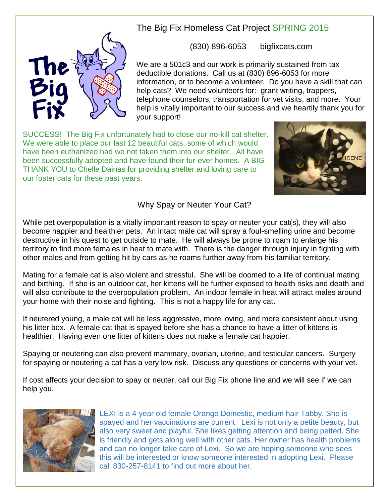

The Big Fix Homeless Cat Project SPRING 2015

(830) 896-6053 bigfixcats.com

We are a 501c3 and our work is primarily sustained from tax deductible donations. Call us at (830) 896-6053 for more information, or to become a volunteer. Do you have a skill that can help cats? We need volunteers for: grant writing, trappers, telephone counselors, transportation for vet visits, and more. Your help is vitally important to our success and we heartily thank you for your support!

SUCCESS! The Big Fix unfortunately had to close our no-kill cat shelter. We were able to place our last 12 beautiful cats, some of which would have been euthanized had we not taken them into our shelter. All have been successfully adopted and have found their fur-ever homes. A BIG THANK YOU to Chelle Dainas for providing shelter and loving care to our foster cats for these past years.



## Why Spay or Neuter Your Cat?

While pet overpopulation is a vitally important reason to spay or neuter your cat(s), they will also become happier and healthier pets. An intact male cat will spray a foul-smelling urine and become destructive in his quest to get outside to mate. He will always be prone to roam to enlarge his territory to find more females in heat to mate with. There is the danger through injury in fighting with other males and from getting hit by cars as he roams further away from his familiar territory.

Mating for a female cat is also violent and stressful. She will be doomed to a life of continual mating and birthing. If she is an outdoor cat, her kittens will be further exposed to health risks and death and will also contribute to the overpopulation problem. An indoor female in heat will attract males around your home with their noise and fighting. This is not a happy life for any cat.

If neutered young, a male cat will be less aggressive, more loving, and more consistent about using his litter box. A female cat that is spayed before she has a chance to have a litter of kittens is healthier. Having even one litter of kittens does not make a female cat happier.

Spaying or neutering can also prevent mammary, ovarian, uterine, and testicular cancers. Surgery for spaying or neutering a cat has a very low risk. Discuss any questions or concerns with your vet.

If cost affects your decision to spay or neuter, call our Big Fix phone line and we will see if we can help you.



LEXI is a 4-year old female Orange Domestic, medium hair Tabby. She is spayed and her vaccinations are current. Lexi is not only a petite beauty, but also very sweet and playful. She likes getting attention and being petted. She is friendly and gets along well with other cats. Her owner has health problems and can no longer take care of Lexi. So we are hoping someone who sees this will be interested or know someone interested in adopting Lexi. Please call 830-257-8141 to find out more about her.